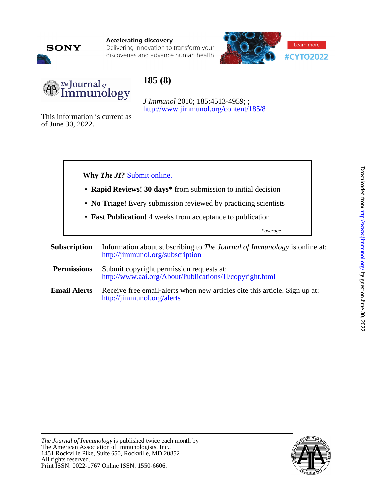

**Accelerating discovery** 

Delivering innovation to transform your discoveries and advance human health





# **185 (8)**

<http://www.jimmunol.org/content/185/8> *J Immunol* 2010; 185:4513-4959; ;

of June 30, 2022. This information is current as



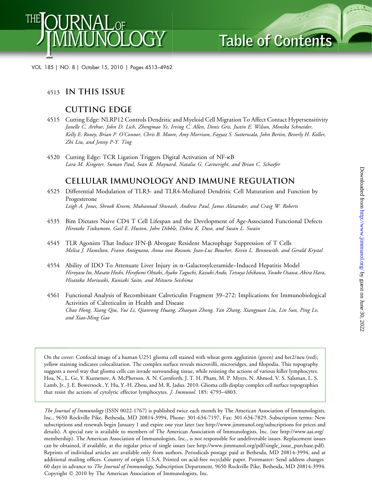

VOL. 185 | NO. 8 | October 15, 2010 | Pages 4513–4962

# <sup>4513</sup> **IN THIS ISSUE**

# **Cutting Edge**

- 4515 Cutting Edge: NLRP12 Controls Dendritic and Myeloid Cell Migration To Affect Contact Hypersensitivity Janelle C. Arthur, John D. Lich, Zhengmao Ye, Irving C. Allen, Denis Gris, Justin E. Wilson, Monika Schneider, Kelly E. Roney, Brian P. O'Connor, Chris B. Moore, Amy Morrison, Fayyaz S. Sutterwala, John Bertin, Beverly H. Koller, Zhi Liu, and Jenny P-Y. Ting
- 4520 Cutting Edge: TCR Ligation Triggers Digital Activation of NF-k<sup>B</sup> Lara M. Kingeter, Suman Paul, Sean K. Maynard, Natalia G. Cartwright, and Brian C. Schaefer

# **CELLULAR IMMUNOLOGY AND IMMUNE REGULATION**

- 4525 Differential Modulation of TLR3- and TLR4-Mediated Dendritic Cell Maturation and Function by Progesterone Leigh A. Jones, Shrook Kreem, Muhannad Shweash, Andrew Paul, James Alexander, and Craig W. Roberts
- 4535 Bim Dictates Naive CD4 T Cell Lifespan and the Development of Age-Associated Functional Defects Hirotake Tsukamoto, Gail E. Huston, John Dibble, Debra K. Duso, and Susan L. Swain
- 4545 TLR Agonists That Induce IFN-b Abrogate Resident Macrophage Suppression of T Cells Melisa J. Hamilton, Frann Antignano, Anna von Rossum, Jean-Luc Boucher, Kevin L. Bennewith, and Gerald Krystal
- 4554 Ability of IDO To Attenuate Liver Injury in  $\alpha$ -Galactosylceramide–Induced Hepatitis Model Hiroyasu Ito, Masato Hoshi, Hirofumi Ohtaki, Ayako Taguchi, Kazuki Ando, Tetsuya Ishikawa, Yosuke Osawa, Akira Hara, Hisataka Moriwaki, Kuniaki Saito, and Mitsuru Seishima
- 4561 Functional Analysis of Recombinant Calreticulin Fragment 39–272: Implications for Immunobiological Activities of Calreticulin in Health and Disease Chao Hong, Xiang Qiu, Yue Li, Qianrong Huang, Zhaoyan Zhong, Yan Zhang, Xiangyuan Liu, Lin Sun, Ping Lv, and Xiao-Ming Gao

On the cover: Confocal image of a human U251 glioma cell stained with wheat germ agglutinin (green) and her2/neu (red); yellow staining indicates colocalization. The complex surface reveals microvilli, microridges, and filopodia. This topography suggests a novel way that glioma cells can invade surrounding tissue, while resisting the actions of various killer lymphocytes. Hoa, N., L. Ge, Y. Kuznetsov, A. McPherson, A. N. Cornforth, J. T. H. Pham, M. P. Myers, N. Ahmed, V. S. Salsman, L. S. Lamb, Jr., J. E. Bowersock , Y. Hu, Y.-H. Zhou, and M. R. Jadus. 2010. Glioma cells display complex cell surface topographies that resist the actions of cytolytic effector lymphocytes. J. Immunol. 185: 4793–4803.

The Journal of Immunology (ISSN 0022-1767) is published twice each month by The American Association of Immunologists, Inc., 9650 Rockville Pike, Bethesda, MD 20814-3994, Phone: 301-634-7197, Fax: 301-634-7829. Subscription terms: New subscriptions and renewals begin January 1 and expire one year later (see http://www.jimmunol.org/subscriptions for prices and details). A special rate is available to members of The American Association of Immunologists, Inc. (see http://www.aai.org/ membership). The American Association of Immunologists, Inc., is not responsible for undeliverable issues. Replacement issues can be obtained, if available, at the regular price of single issues (see http://www.jimmunol.org/pdf/single\_issue\_purchase.pdf). Reprints of individual articles are available only from authors. Periodicals postage paid at Bethesda, MD 20814-3994, and at additional mailing offices. Country of origin U.S.A. Printed on acid-free recyclable paper. Postmaster: Send address changes 60 days in advance to The Journal of Immunology, Subscription Department, 9650 Rockville Pike, Bethesda, MD 20814-3994. Copyright 2010 by The American Association of Immunologists, Inc.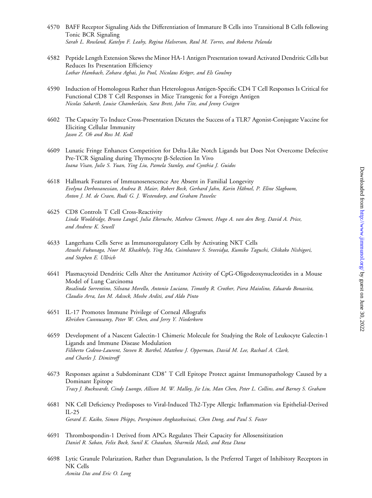- 4570 BAFF Receptor Signaling Aids the Differentiation of Immature B Cells into Transitional B Cells following Tonic BCR Signaling Sarah L. Rowland, Katelyn F. Leahy, Regina Halverson, Raul M. Torres, and Roberta Pelanda
- 4582 Peptide Length Extension Skews the Minor HA-1 Antigen Presentation toward Activated Dendritic Cells but Reduces Its Presentation Efficiency Lothar Hambach, Zohara Aghai, Jos Pool, Nicolaus Kröger, and Els Goulmy
- 4590 Induction of Homologous Rather than Heterologous Antigen-Specific CD4 T Cell Responses Is Critical for Functional CD8 T Cell Responses in Mice Transgenic for a Foreign Antigen Nicolas Sabarth, Louise Chamberlain, Sara Brett, John Tite, and Jenny Craigen
- 4602 The Capacity To Induce Cross-Presentation Dictates the Success of a TLR7 Agonist-Conjugate Vaccine for Eliciting Cellular Immunity Jason Z. Oh and Ross M. Kedl
- 4609 Lunatic Fringe Enhances Competition for Delta-Like Notch Ligands but Does Not Overcome Defective Pre-TCR Signaling during Thymocyte  $\beta$ -Selection In Vivo Ioana Visan, Julie S. Yuan, Ying Liu, Pamela Stanley, and Cynthia J. Guidos
- 4618 Hallmark Features of Immunosenescence Are Absent in Familial Longevity Evelyna Derhovanessian, Andrea B. Maier, Robert Beck, Gerhard Jahn, Karin Hähnel, P. Eline Slagboom, Anton J. M. de Craen, Rudi G. J. Westendorp, and Graham Pawelec
- 4625 CD8 Controls T Cell Cross-Reactivity Linda Wooldridge, Bruno Laugel, Julia Ekeruche, Mathew Clement, Hugo A. van den Berg, David A. Price, and Andrew K. Sewell
- 4633 Langerhans Cells Serve as Immunoregulatory Cells by Activating NKT Cells Atsushi Fukunaga, Noor M. Khaskhely, Ying Ma, Coimbatore S. Sreevidya, Kumiko Taguchi, Chikako Nishigori, and Stephen E. Ullrich
- 4641 Plasmacytoid Dendritic Cells Alter the Antitumor Activity of CpG-Oligodeoxynucleotides in a Mouse Model of Lung Carcinoma Rosalinda Sorrentino, Silvana Morello, Antonio Luciano, Timothy R. Crother, Piera Maiolino, Eduardo Bonavita, Claudio Arra, Ian M. Adcock, Moshe Arditi, and Aldo Pinto
- 4651 IL-17 Promotes Immune Privilege of Corneal Allografts Khrishen Cunnusamy, Peter W. Chen, and Jerry Y. Niederkorn
- 4659 Development of a Nascent Galectin-1 Chimeric Molecule for Studying the Role of Leukocyte Galectin-1 Ligands and Immune Disease Modulation Filiberto Cedeno-Laurent, Steven R. Barthel, Matthew J. Opperman, David M. Lee, Rachael A. Clark, and Charles J. Dimitroff
- 4673 Responses against a Subdominant CD8<sup>+</sup> T Cell Epitope Protect against Immunopathology Caused by a Dominant Epitope Tracy J. Ruckwardt, Cindy Luongo, Allison M. W. Malloy, Jie Liu, Man Chen, Peter L. Collins, and Barney S. Graham
- 4681 NK Cell Deficiency Predisposes to Viral-Induced Th2-Type Allergic Inflammation via Epithelial-Derived IL-25 Gerard E. Kaiko, Simon Phipps, Pornpimon Angkasekwinai, Chen Dong, and Paul S. Foster
- 4691 Thrombospondin-1 Derived from APCs Regulates Their Capacity for Allosensitization Daniel R. Saban, Felix Bock, Sunil K. Chauhan, Sharmila Masli, and Reza Dana
- 4698 Lytic Granule Polarization, Rather than Degranulation, Is the Preferred Target of Inhibitory Receptors in NK Cells Asmita Das and Eric O. Long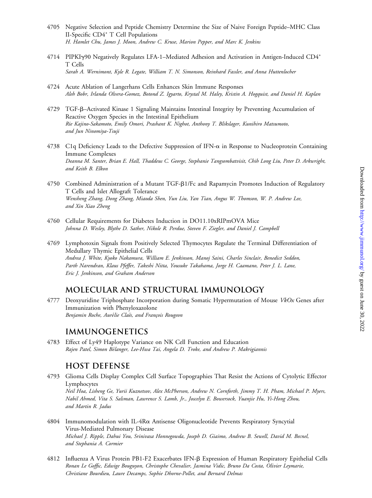- 4705 Negative Selection and Peptide Chemistry Determine the Size of Naive Foreign Peptide–MHC Class II-Specific CD4<sup>+</sup> T Cell Populations H. Hamlet Chu, James J. Moon, Andrew C. Kruse, Marion Pepper, and Marc K. Jenkins
- 4714 PIPKIy90 Negatively Regulates LFA-1-Mediated Adhesion and Activation in Antigen-Induced CD4<sup>+</sup> T Cells Sarah A. Wernimont, Kyle R. Legate, William T. N. Simonson, Reinhard Fassler, and Anna Huttenlocher
- 4724 Acute Ablation of Langerhans Cells Enhances Skin Immune Responses Aleh Bobr, Irlanda Olvera-Gomez, Botond Z. Igyarto, Krystal M. Haley, Kristin A. Hogquist, and Daniel H. Kaplan
- 4729 TGF-b–Activated Kinase 1 Signaling Maintains Intestinal Integrity by Preventing Accumulation of Reactive Oxygen Species in the Intestinal Epithelium Rie Kajino-Sakamoto, Emily Omori, Prashant K. Nighot, Anthony T. Blikslager, Kunihiro Matsumoto, and Jun Ninomiya-Tsuji
- 4738 C1q Deficiency Leads to the Defective Suppression of IFN- $\alpha$  in Response to Nucleoprotein Containing Immune Complexes Deanna M. Santer, Brian E. Hall, Thaddeus C. George, Stephanie Tangsombatvisit, Chih Long Liu, Peter D. Arkwright, and Keith B. Elkon
- 4750 Combined Administration of a Mutant TGF-b1/Fc and Rapamycin Promotes Induction of Regulatory T Cells and Islet Allograft Tolerance Wensheng Zhang, Dong Zhang, Miaoda Shen, Yun Liu, Yan Tian, Angus W. Thomson, W. P. Andrew Lee, and Xin Xiao Zheng
- 4760 Cellular Requirements for Diabetes Induction in DO11.10xRIPmOVA Mice Johnna D. Wesley, Blythe D. Sather, Nikole R. Perdue, Steven F. Ziegler, and Daniel J. Campbell
- 4769 Lymphotoxin Signals from Positively Selected Thymocytes Regulate the Terminal Differentiation of Medullary Thymic Epithelial Cells Andrea J. White, Kyoko Nakamura, William E. Jenkinson, Manoj Saini, Charles Sinclair, Benedict Seddon, Parth Narendran, Klaus Pfeffer, Takeshi Nitta, Yousuke Takahama, Jorge H. Caamano, Peter J. L. Lane, Eric J. Jenkinson, and Graham Anderson

## **MOLECULAR AND STRUCTURAL IMMUNOLOGY**

4777 Deoxyuridine Triphosphate Incorporation during Somatic Hypermutation of Mouse VkOx Genes after Immunization with Phenyloxazolone Benjamin Roche, Aurélie Claës, and François Rougeon

#### **IMMUNOGENETICS**

4783 Effect of Ly49 Haplotype Variance on NK Cell Function and Education Rajen Patel, Simon Belanger, Lee-Hwa Tai, Angela D. Troke, and Andrew P. Makrigiannis

## **HOST DEFENSE**

- 4793 Glioma Cells Display Complex Cell Surface Topographies That Resist the Actions of Cytolytic Effector Lymphocytes Neil Hoa, Lisheng Ge, Yurii Kuznetsov, Alex McPherson, Andrew N. Cornforth, Jimmy T. H. Pham, Michael P. Myers, Nabil Ahmed, Vita S. Salsman, Lawrence S. Lamb, Jr., Joscelyn E. Bowersock, Yuanjie Hu, Yi-Hong Zhou, and Martin R. Jadus
- 4804 Immunomodulation with IL-4Ra Antisense Oligonucleotide Prevents Respiratory Syncytial Virus-Mediated Pulmonary Disease Michael J. Ripple, Dahui You, Srinivasa Honnegowda, Joseph D. Giaimo, Andrew B. Sewell, David M. Becnel, and Stephania A. Cormier
- 4812 Influenza A Virus Protein PB1-F2 Exacerbates IFN-b Expression of Human Respiratory Epithelial Cells Ronan Le Goffic, Edwige Bouguyon, Christophe Chevalier, Jasmina Vidic, Bruno Da Costa, Olivier Leymarie, Christiane Bourdieu, Laure Decamps, Sophie Dhorne-Pollet, and Bernard Delmas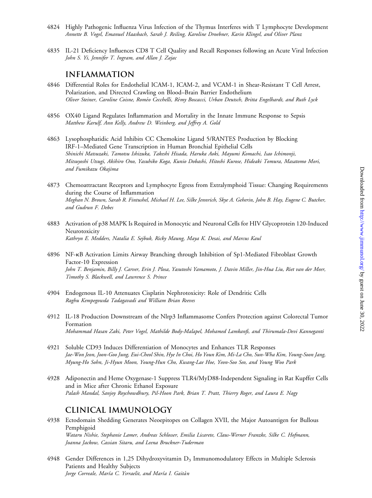- 4824 Highly Pathogenic Influenza Virus Infection of the Thymus Interferes with T Lymphocyte Development Annette B. Vogel, Emanuel Haasbach, Sarah J. Reiling, Karoline Droebner, Karin Klingel, and Oliver Planz
- 4835 IL-21 Deficiency Influences CD8 T Cell Quality and Recall Responses following an Acute Viral Infection John S. Yi, Jennifer T. Ingram, and Allan J. Zajac

#### **INFLAMMATION**

- 4846 Differential Roles for Endothelial ICAM-1, ICAM-2, and VCAM-1 in Shear-Resistant T Cell Arrest, Polarization, and Directed Crawling on Blood–Brain Barrier Endothelium Oliver Steiner, Caroline Coisne, Roméo Cecchelli, Rémy Boscacci, Urban Deutsch, Britta Engelhardt, and Ruth Lyck
- 4856 OX40 Ligand Regulates Inflammation and Mortality in the Innate Immune Response to Sepsis Matthew Karulf, Ann Kelly, Andrew D. Weinberg, and Jeffrey A. Gold
- 4863 Lysophosphatidic Acid Inhibits CC Chemokine Ligand 5/RANTES Production by Blocking IRF-1–Mediated Gene Transcription in Human Bronchial Epithelial Cells Shinichi Matsuzaki, Tamotsu Ishizuka, Takeshi Hisada, Haruka Aoki, Mayumi Komachi, Isao Ichimonji, Mitsuyoshi Utsugi, Akihiro Ono, Yasuhiko Koga, Kunio Dobashi, Hitoshi Kurose, Hideaki Tomura, Masatomo Mori, and Fumikazu Okajima
- 4873 Chemoattractant Receptors and Lymphocyte Egress from Extralymphoid Tissue: Changing Requirements during the Course of Inflammation Meghan N. Brown, Sarah R. Fintushel, Michael H. Lee, Silke Jennrich, Skye A. Geherin, John B. Hay, Eugene C. Butcher, and Gudrun F. Debes
- 4883 Activation of p38 MAPK Is Required in Monocytic and Neuronal Cells for HIV Glycoprotein 120-Induced Neurotoxicity Kathryn E. Medders, Natalia E. Sejbuk, Ricky Maung, Maya K. Desai, and Marcus Kaul
- 4896 NF-kB Activation Limits Airway Branching through Inhibition of Sp1-Mediated Fibroblast Growth Factor-10 Expression John T. Benjamin, Billy J. Carver, Erin J. Plosa, Yasutoshi Yamamoto, J. Davin Miller, Jin-Hua Liu, Riet van der Meer, Timothy S. Blackwell, and Lawrence S. Prince
- 4904 Endogenous IL-10 Attenuates Cisplatin Nephrotoxicity: Role of Dendritic Cells Raghu Kempegowda Tadagavadi and William Brian Reeves
- 4912 IL-18 Production Downstream of the Nlrp3 Inflammasome Confers Protection against Colorectal Tumor Formation Mohammad Hasan Zaki, Peter Vogel, Mathilde Body-Malapel, Mohamed Lamkanfi, and Thirumala-Devi Kanneganti
- 4921 Soluble CD93 Induces Differentiation of Monocytes and Enhances TLR Responses Jae-Won Jeon, Joon-Goo Jung, Eui-Cheol Shin, Hye In Choi, Ho Youn Kim, Mi-La Cho, Sun-Wha Kim, Young-Soon Jang, Myung-Ho Sohn, Ji-Hyun Moon, Young-Hun Cho, Kwang-Lae Hoe, Yeon-Soo Seo, and Young Woo Park
- 4928 Adiponectin and Heme Oxygenase-1 Suppress TLR4/MyD88-Independent Signaling in Rat Kupffer Cells and in Mice after Chronic Ethanol Exposure Palash Mandal, Sanjoy Roychowdhury, Pil-Hoon Park, Brian T. Pratt, Thierry Roger, and Laura E. Nagy

## **CLINICAL IMMUNOLOGY**

- 4938 Ectodomain Shedding Generates Neoepitopes on Collagen XVII, the Major Autoantigen for Bullous Pemphigoid Wataru Nishie, Stephanie Lamer, Andreas Schlosser, Emilia Licarete, Claus-Werner Franzke, Silke C. Hofmann, Joanna Jackow, Cassian Sitaru, and Leena Bruckner-Tuderman
- 4948 Gender Differences in 1,25 Dihydroxyvitamin D<sub>3</sub> Immunomodulatory Effects in Multiple Sclerosis Patients and Healthy Subjects Jorge Correale, María C. Ysrraelit, and María I. Gaitán